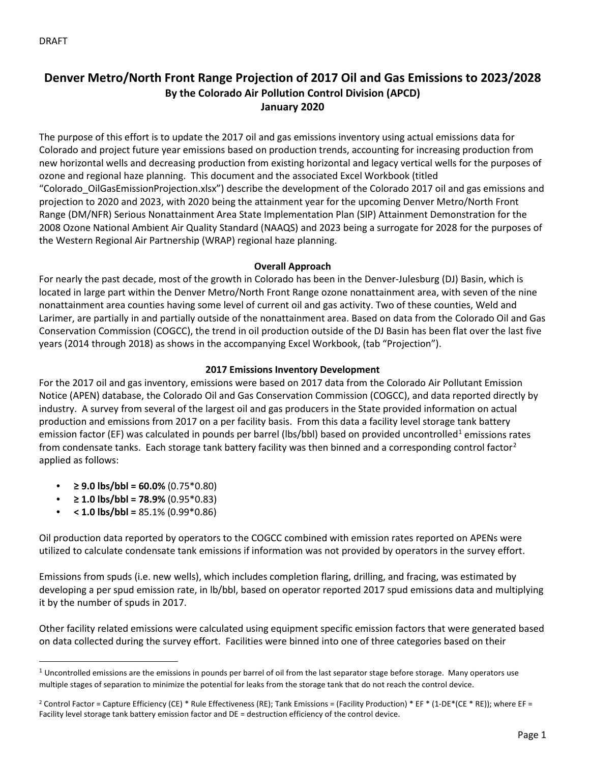# **Denver Metro/North Front Range Projection of 2017 Oil and Gas Emissions to 2023/2028 By the Colorado Air Pollution Control Division (APCD) January 2020**

The purpose of this effort is to update the 2017 oil and gas emissions inventory using actual emissions data for Colorado and project future year emissions based on production trends, accounting for increasing production from new horizontal wells and decreasing production from existing horizontal and legacy vertical wells for the purposes of ozone and regional haze planning. This document and the associated Excel Workbook (titled "Colorado\_OilGasEmissionProjection.xlsx") describe the development of the Colorado 2017 oil and gas emissions and projection to 2020 and 2023, with 2020 being the attainment year for the upcoming Denver Metro/North Front Range (DM/NFR) Serious Nonattainment Area State Implementation Plan (SIP) Attainment Demonstration for the 2008 Ozone National Ambient Air Quality Standard (NAAQS) and 2023 being a surrogate for 2028 for the purposes of the Western Regional Air Partnership (WRAP) regional haze planning.

# **Overall Approach**

For nearly the past decade, most of the growth in Colorado has been in the Denver-Julesburg (DJ) Basin, which is located in large part within the Denver Metro/North Front Range ozone nonattainment area, with seven of the nine nonattainment area counties having some level of current oil and gas activity. Two of these counties, Weld and Larimer, are partially in and partially outside of the nonattainment area. Based on data from the Colorado Oil and Gas Conservation Commission (COGCC), the trend in oil production outside of the DJ Basin has been flat over the last five years (2014 through 2018) as shows in the accompanying Excel Workbook, (tab "Projection").

# **2017 Emissions Inventory Development**

For the 2017 oil and gas inventory, emissions were based on 2017 data from the Colorado Air Pollutant Emission Notice (APEN) database, the Colorado Oil and Gas Conservation Commission (COGCC), and data reported directly by industry. A survey from several of the largest oil and gas producers in the State provided information on actual production and emissions from 2017 on a per facility basis. From this data a facility level storage tank battery emission factor (EF) was calculated in pounds per barrel (lbs/bbl) based on provided uncontrolled<sup>[1](#page-0-0)</sup> emissions rates from condensate tanks. Each storage tank battery facility was then binned and a corresponding control factor<sup>[2](#page-0-1)</sup> applied as follows:

- **≥ 9.0 lbs/bbl = 60.0%** (0.75\*0.80)
- $\bullet$  **≥ 1.0 lbs/bbl = 78.9%** (0.95\*0.83)
- **< 1.0 lbs/bbl =** 85.1% (0.99\*0.86)

Oil production data reported by operators to the COGCC combined with emission rates reported on APENs were utilized to calculate condensate tank emissions if information was not provided by operators in the survey effort.

Emissions from spuds (i.e. new wells), which includes completion flaring, drilling, and fracing, was estimated by developing a per spud emission rate, in lb/bbl, based on operator reported 2017 spud emissions data and multiplying it by the number of spuds in 2017.

Other facility related emissions were calculated using equipment specific emission factors that were generated based on data collected during the survey effort. Facilities were binned into one of three categories based on their

<span id="page-0-0"></span> $1$  Uncontrolled emissions are the emissions in pounds per barrel of oil from the last separator stage before storage. Many operators use multiple stages of separation to minimize the potential for leaks from the storage tank that do not reach the control device.

<span id="page-0-1"></span><sup>&</sup>lt;sup>2</sup> Control Factor = Capture Efficiency (CE) \* Rule Effectiveness (RE); Tank Emissions = (Facility Production) \* EF \* (1-DE\*(CE \* RE)); where EF = Facility level storage tank battery emission factor and DE = destruction efficiency of the control device.